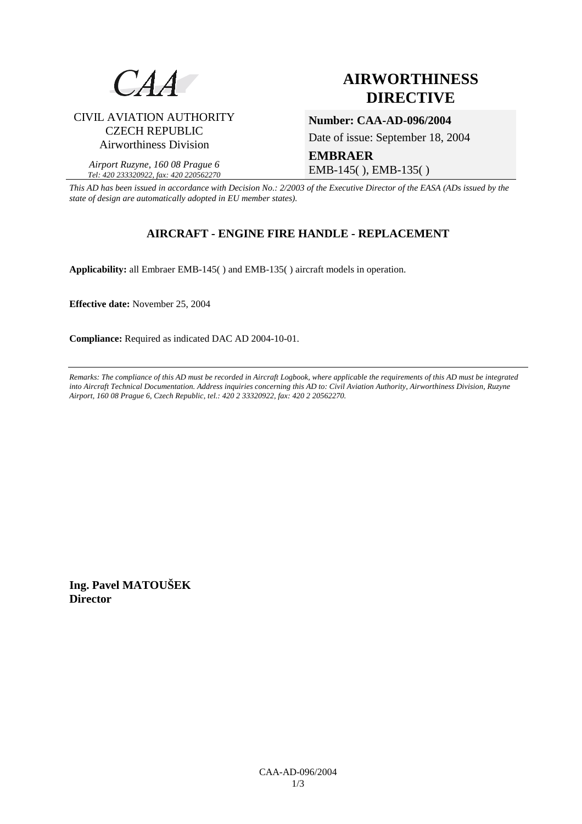

# **AIRWORTHINESS DIRECTIVE**

CIVIL AVIATION AUTHORITY CZECH REPUBLIC Airworthiness Division

#### *Airport Ruzyne, 160 08 Prague 6 Tel: 420 233320922, fax: 420 220562270*

## **Number: CAA-AD-096/2004**

Date of issue: September 18, 2004

**EMBRAER**  EMB-145( ), EMB-135( )

*This AD has been issued in accordance with Decision No.: 2/2003 of the Executive Director of the EASA (ADs issued by the state of design are automatically adopted in EU member states).*

### **AIRCRAFT - ENGINE FIRE HANDLE - REPLACEMENT**

**Applicability:** all Embraer EMB-145( ) and EMB-135( ) aircraft models in operation.

**Effective date:** November 25, 2004

**Compliance:** Required as indicated DAC AD 2004-10-01.

*Remarks: The compliance of this AD must be recorded in Aircraft Logbook, where applicable the requirements of this AD must be integrated into Aircraft Technical Documentation. Address inquiries concerning this AD to: Civil Aviation Authority, Airworthiness Division, Ruzyne Airport, 160 08 Prague 6, Czech Republic, tel.: 420 2 33320922, fax: 420 2 20562270.* 

**Ing. Pavel MATOUŠEK Director**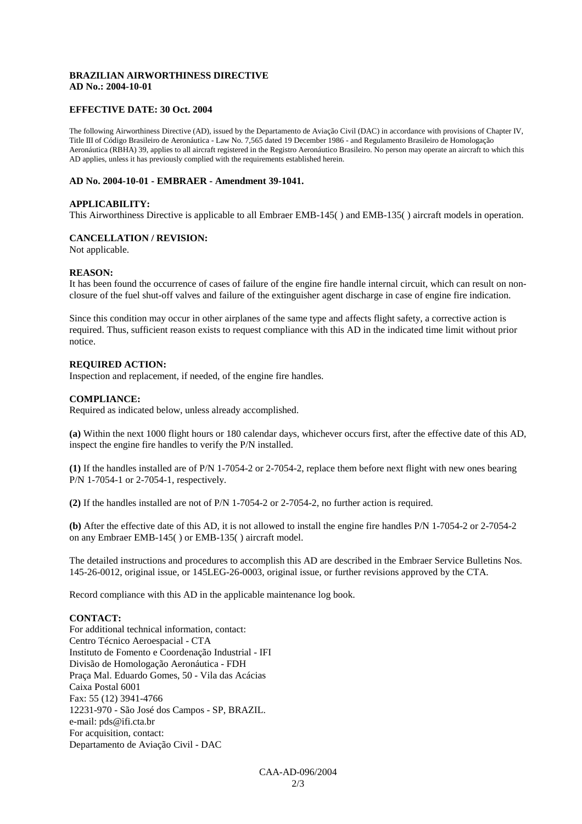#### **BRAZILIAN AIRWORTHINESS DIRECTIVE AD No.: 2004-10-01**

#### **EFFECTIVE DATE: 30 Oct. 2004**

The following Airworthiness Directive (AD), issued by the Departamento de Aviação Civil (DAC) in accordance with provisions of Chapter IV, Title III of Código Brasileiro de Aeronáutica - Law No. 7,565 dated 19 December 1986 - and Regulamento Brasileiro de Homologação Aeronáutica (RBHA) 39, applies to all aircraft registered in the Registro Aeronáutico Brasileiro. No person may operate an aircraft to which this AD applies, unless it has previously complied with the requirements established herein.

#### **AD No. 2004-10-01 - EMBRAER - Amendment 39-1041.**

#### **APPLICABILITY:**

This Airworthiness Directive is applicable to all Embraer EMB-145( ) and EMB-135( ) aircraft models in operation.

#### **CANCELLATION / REVISION:**

Not applicable.

#### **REASON:**

It has been found the occurrence of cases of failure of the engine fire handle internal circuit, which can result on nonclosure of the fuel shut-off valves and failure of the extinguisher agent discharge in case of engine fire indication.

Since this condition may occur in other airplanes of the same type and affects flight safety, a corrective action is required. Thus, sufficient reason exists to request compliance with this AD in the indicated time limit without prior notice.

#### **REQUIRED ACTION:**

Inspection and replacement, if needed, of the engine fire handles.

#### **COMPLIANCE:**

Required as indicated below, unless already accomplished.

**(a)** Within the next 1000 flight hours or 180 calendar days, whichever occurs first, after the effective date of this AD, inspect the engine fire handles to verify the P/N installed.

**(1)** If the handles installed are of P/N 1-7054-2 or 2-7054-2, replace them before next flight with new ones bearing P/N 1-7054-1 or 2-7054-1, respectively.

**(2)** If the handles installed are not of P/N 1-7054-2 or 2-7054-2, no further action is required.

**(b)** After the effective date of this AD, it is not allowed to install the engine fire handles P/N 1-7054-2 or 2-7054-2 on any Embraer EMB-145( ) or EMB-135( ) aircraft model.

The detailed instructions and procedures to accomplish this AD are described in the Embraer Service Bulletins Nos. 145-26-0012, original issue, or 145LEG-26-0003, original issue, or further revisions approved by the CTA.

Record compliance with this AD in the applicable maintenance log book.

#### **CONTACT:**

For additional technical information, contact: Centro Técnico Aeroespacial - CTA Instituto de Fomento e Coordenação Industrial - IFI Divisão de Homologação Aeronáutica - FDH Praça Mal. Eduardo Gomes, 50 - Vila das Acácias Caixa Postal 6001 Fax: 55 (12) 3941-4766 12231-970 - São José dos Campos - SP, BRAZIL. e-mail: pds@ifi.cta.br For acquisition, contact: Departamento de Aviação Civil - DAC